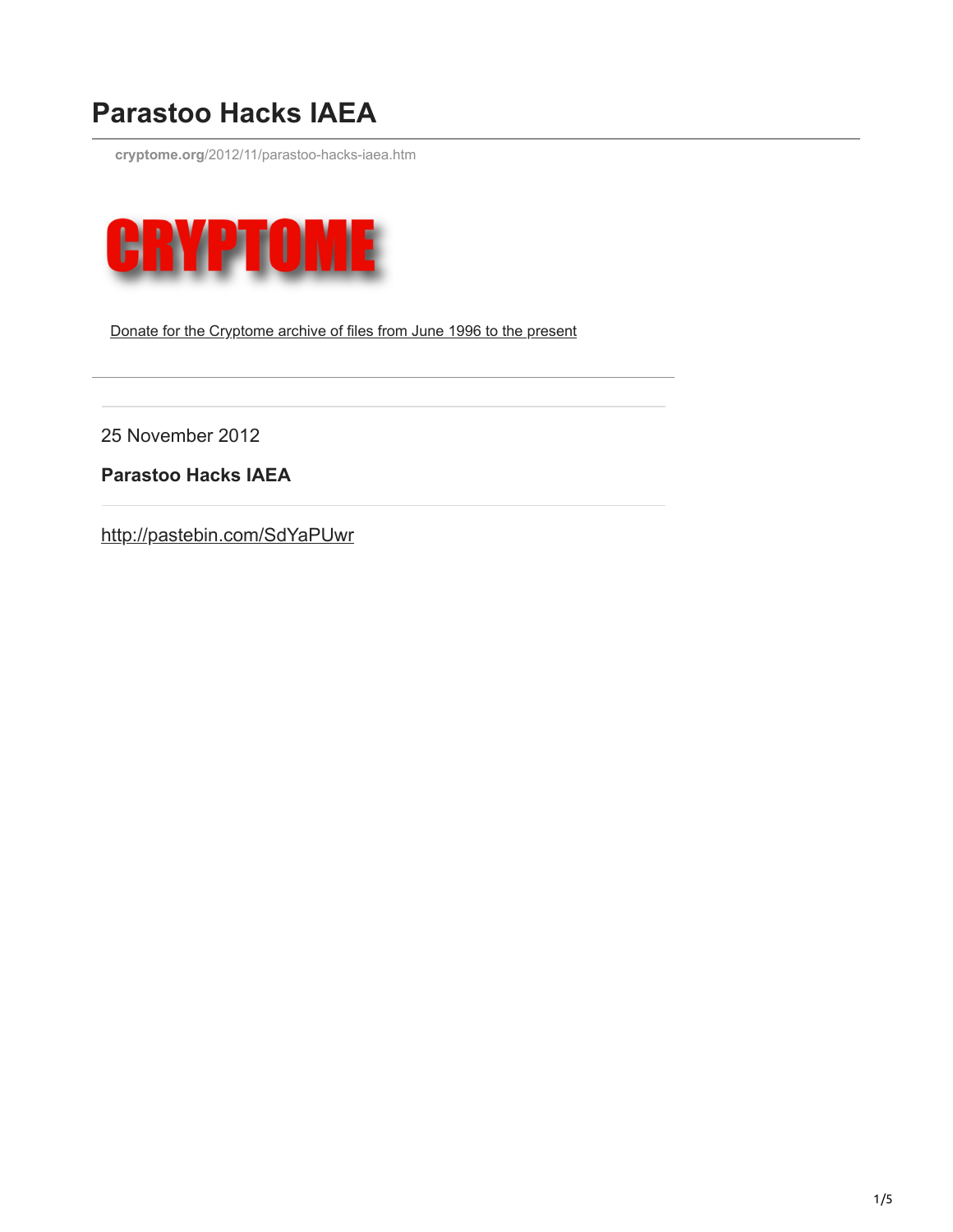## **Parastoo Hacks IAEA**

**cryptome.org**[/2012/11/parastoo-hacks-iaea.htm](https://cryptome.org/2012/11/parastoo-hacks-iaea.htm)



Donate for the [Cryptome](http://cryptome.org/donations.htm) archive of files from June 1996 to the present

25 November 2012

**Parastoo Hacks IAEA**

<http://pastebin.com/SdYaPUwr>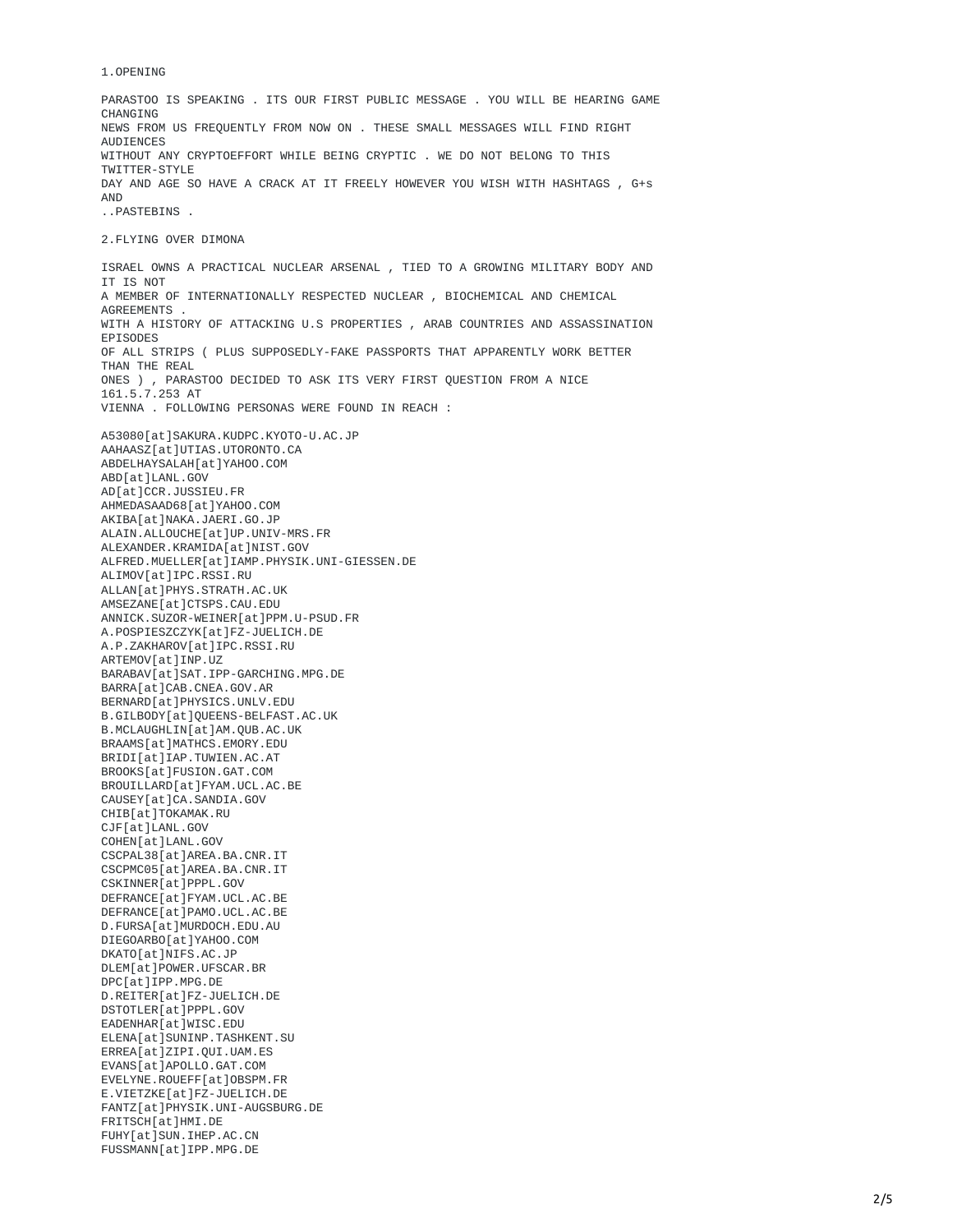## 1.OPENING

PARASTOO IS SPEAKING . ITS OUR FIRST PUBLIC MESSAGE . YOU WILL BE HEARING GAME CHANGING NEWS FROM US FREQUENTLY FROM NOW ON . THESE SMALL MESSAGES WILL FIND RIGHT **AUDIFNCES** WITHOUT ANY CRYPTOEFFORT WHILE BEING CRYPTIC . WE DO NOT BELONG TO THIS TWITTER-STYLE DAY AND AGE SO HAVE A CRACK AT IT FREELY HOWEVER YOU WISH WITH HASHTAGS , G+s AND ..PASTEBINS .

2.FLYING OVER DIMONA

ISRAEL OWNS A PRACTICAL NUCLEAR ARSENAL , TIED TO A GROWING MILITARY BODY AND IT IS NOT A MEMBER OF INTERNATIONALLY RESPECTED NUCLEAR , BIOCHEMICAL AND CHEMICAL **AGREEMENTS** WITH A HISTORY OF ATTACKING U.S PROPERTIES , ARAB COUNTRIES AND ASSASSINATION EPISODES OF ALL STRIPS ( PLUS SUPPOSEDLY-FAKE PASSPORTS THAT APPARENTLY WORK BETTER THAN THE REAL ONES ) , PARASTOO DECIDED TO ASK ITS VERY FIRST QUESTION FROM A NICE 161.5.7.253 AT VIENNA . FOLLOWING PERSONAS WERE FOUND IN REACH : A53080[at]SAKURA.KUDPC.KYOTO-U.AC.JP AAHAASZ[at]UTIAS.UTORONTO.CA ABDELHAYSALAH[at]YAHOO.COM ABD[at]LANL.GOV AD[at]CCR.JUSSIEU.FR AHMEDASAAD68[at]YAHOO.COM AKIBA[at]NAKA.JAERI.GO.JP ALAIN.ALLOUCHE[at]UP.UNIV-MRS.FR ALEXANDER.KRAMIDA[at]NIST.GOV ALFRED.MUELLER[at]IAMP.PHYSIK.UNI-GIESSEN.DE ALIMOV[at]IPC.RSSI.RU ALLAN[at]PHYS.STRATH.AC.UK AMSEZANE[at]CTSPS.CAU.EDU ANNICK.SUZOR-WEINER[at]PPM.U-PSUD.FR A.POSPIESZCZYK[at]FZ-JUELICH.DE A.P.ZAKHAROV[at]IPC.RSSI.RU ARTEMOV[at]INP.UZ BARABAV[at]SAT.IPP-GARCHING.MPG.DE BARRA[at]CAB.CNEA.GOV.AR BERNARD[at]PHYSICS.UNLV.EDU B.GILBODY[at]QUEENS-BELFAST.AC.UK B.MCLAUGHLIN[at]AM.QUB.AC.UK BRAAMS[at]MATHCS.EMORY.EDU BRIDI[at]IAP.TUWIEN.AC.AT BROOKS[at]FUSION.GAT.COM BROUILLARD[at]FYAM.UCL.AC.BE CAUSEY[at]CA.SANDIA.GOV CHIB[at]TOKAMAK.RU CJF[at]LANL.GOV COHEN[at]LANL.GOV CSCPAL38[at]AREA.BA.CNR.IT CSCPMC05[at]AREA.BA.CNR.IT CSKINNER[at]PPPL.GOV DEFRANCE[at]FYAM.UCL.AC.BE DEFRANCE[at]PAMO.UCL.AC.BE D.FURSA[at]MURDOCH.EDU.AU DIEGOARBO[at]YAHOO.COM DKATO[at]NIFS.AC.JP DLEM[at]POWER.UFSCAR.BR DPC[at]IPP.MPG.DE D.REITER[at]FZ-JUELICH.DE DSTOTLER[at]PPPL.GOV EADENHAR[at]WISC.EDU ELENA[at]SUNINP.TASHKENT.SU ERREA[at]ZIPI.QUI.UAM.ES EVANS[at]APOLLO.GAT.COM EVELYNE.ROUEFF[at]OBSPM.FR E.VIETZKE[at]FZ-JUELICH.DE FANTZ[at]PHYSIK.UNI-AUGSBURG.DE FRITSCH[at]HMI.DE FUHY[at]SUN.IHEP.AC.CN FUSSMANN[at]IPP.MPG.DE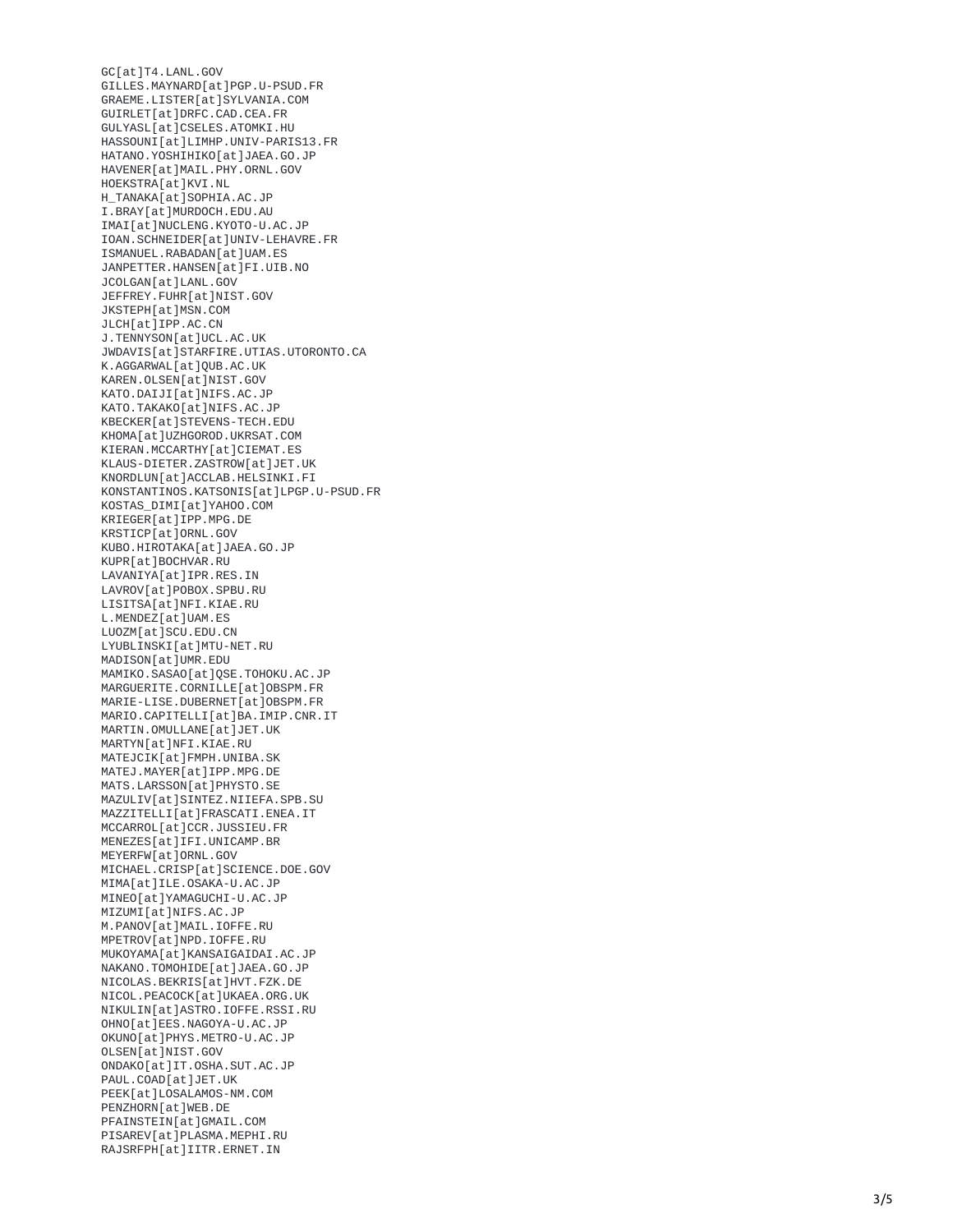GC[at]T4.LANL.GOV GILLES.MAYNARD[at]PGP.U-PSUD.FR GRAEME.LISTER[at]SYLVANIA.COM GUIRLET[at]DRFC.CAD.CEA.FR GULYASL[at]CSELES.ATOMKI.HU HASSOUNI[at]LIMHP.UNIV-PARIS13.FR HATANO.YOSHIHIKO[at]JAEA.GO.JP <code>HAVENER[at]MAIL.PHY.ORNL.GOV</code> HOEKSTRA[at]KVI.NL H\_TANAKA[at]SOPHIA.AC.JP I.BRAY[at]MURDOCH.EDU.AU IMAI[at]NUCLENG.KYOTO-U.AC.JP IOAN.SCHNEIDER[at]UNIV-LEHAVRE.FR ISMANUEL.RABADAN[at]UAM.ES JANPETTER.HANSEN[at]FI.UIB.NO JCOLGAN[at]LANL.GOV JEFFREY.FUHR[at]NIST.GOV JKSTEPH[at]MSN.COM JLCH[at]IPP.AC.CN J.TENNYSON[at]UCL.AC.UK JWDAVIS[at]STARFIRE.UTIAS.UTORONTO.CA K.AGGARWAL[at]QUB.AC.UK KAREN.OLSEN[at]NIST.GOV KATO.DAIJI[at]NIFS.AC.JP KATO.TAKAKO[at]NIFS.AC.JP KBECKER[at]STEVENS-TECH.EDU KHOMA[at]UZHGOROD.UKRSAT.COM KIERAN.MCCARTHY[at]CIEMAT.ES KLAUS-DIETER.ZASTROW[at]JET.UK KNORDLUN[at]ACCLAB.HELSINKI.FI KONSTANTINOS.KATSONIS[at]LPGP.U-PSUD.FR KOSTAS\_DIMI[at]YAHOO.COM KRIEGER[at]IPP.MPG.DE KRSTICP[at]ORNL.GOV KUBO.HIROTAKA[at]JAEA.GO.JP KUPR[at]BOCHVAR.RU LAVANIYA[at]IPR.RES.IN LAVROV[at]POBOX.SPBU.RU LISITSA[at]NFI.KIAE.RU L.MENDEZ[at]UAM.ES LUOZM[at]SCU.EDU.CN LYUBLINSKI[at]MTU-NET.RU <code>MADISON[at]UMR.EDU</code> <code>MAMIKO.SASAO[at]QSE.TOHOKU.AC.JP</code> <code>MARGUERITE.CORNILLE[at]OBSPM.FR</code> <code>MARIE-LISE.DUBERNET</code>[at]OBSPM.FR <code>MARIO.CAPITELLI[at]BA.IMIP.CNR.IT</code> <code>MARTIN.OMULLANE[at]JET.UK</code> <code>MARTYN[at]NFI.KIAE.RU</code> <code>MATEJCIK[at]FMPH.UNIBA.SK</code> <code>MATEJ.MAYER[at]IPP.MPG.DE</code> MATS.LARSSON[at]PHYSTO.SE <code>MAZULIV[at]SINTEZ.NIIEFA.SPB.SU</code> <code>MAZZITELLI[at]FRASCATI.ENEA.IT</code> <code>MCCARROL[at]CCR.JUSSIEU.FR</code> <code>MENEZES[at]IFI.UNICAMP.BR</code> <code>MEYERFW[at]ORNL.GOV</code> MICHAEL.CRISP[at]SCIENCE.DOE.GOV <code>MIMA[at]ILE.OSAKA-U.AC.JP</code> <code>MINEO[at]YAMAGUCHI-U.AC.JP</code> <code>MIZUMI[at]NIFS.AC.JP</code> M.PANOV[at]MAIL.IOFFE.RU <code>MPETROV[at]NPD.IOFFE.RU</code> MUKOYAMA[at]KANSAIGAIDAI.AC.JP NAKANO.TOMOHIDE[at]JAEA.GO.JP NICOLAS.BEKRIS[at]HVT.FZK.DE NICOL.PEACOCK[at]UKAEA.ORG.UK <code>NIKULIN[at]ASTRO.IOFFE.RSSI.RU</code> OHNO[at]EES.NAGOYA-U.AC.JP OKUNO[at]PHYS.METRO-U.AC.JP OLSEN[at]NIST.GOV ONDAKO[at]IT.OSHA.SUT.AC.JP PAUL.COAD[at]JET.UK PEEK[at]LOSALAMOS-NM.COM PENZHORN[at]WEB.DE PFAINSTEIN[at]GMAIL.COM PISAREV[at]PLASMA.MEPHI.RU RAJSRFPH[at]IITR.ERNET.IN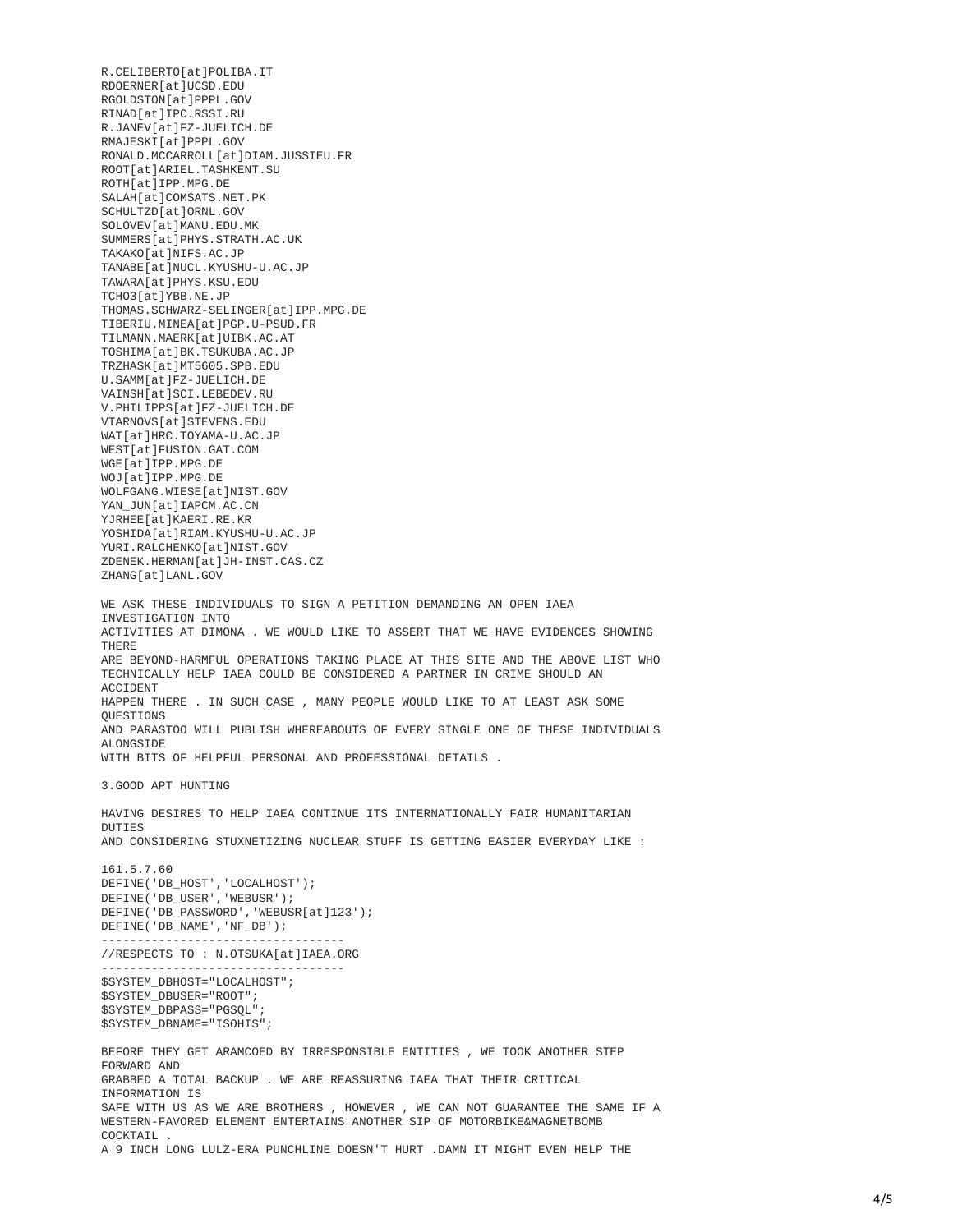R.CELIBERTO[at]POLIBA.IT RDOERNER[at]UCSD.EDU RGOLDSTON[at]PPPL.GOV RINAD[at]IPC.RSSI.RU R.JANEV[at]FZ-JUELICH.DE RMAJESKI[at]PPPL.GOV RONALD.MCCARROLL[at]DIAM.JUSSIEU.FR ROOT[at]ARIEL.TASHKENT.SU ROTH[at]IPP.MPG.DE SALAH[at]COMSATS.NET.PK SCHULTZD[at]ORNL.GOV SOLOVEV[at]MANU.EDU.MK SUMMERS[at]PHYS.STRATH.AC.UK TAKAKO[at]NIFS.AC.JP TANABE[at]NUCL.KYUSHU-U.AC.JP TAWARA[at]PHYS.KSU.EDU TCHO3[at]YBB.NE.JP THOMAS.SCHWARZ-SELINGER[at]IPP.MPG.DE TIBERIU.MINEA[at]PGP.U-PSUD.FR TILMANN.MAERK[at]UIBK.AC.AT TOSHIMA[at]BK.TSUKUBA.AC.JP TRZHASK[at]MT5605.SPB.EDU U.SAMM[at]FZ-JUELICH.DE VAINSH[at]SCI.LEBEDEV.RU V.PHILIPPS[at]FZ-JUELICH.DE VTARNOVS[at]STEVENS.EDU WAT[at]HRC.TOYAMA-U.AC.JP WEST[at]FUSION.GAT.COM WGE[at]IPP.MPG.DE WOJ[at]IPP.MPG.DE WOLFGANG.WIESE[at]NIST.GOV YAN\_JUN[at]IAPCM.AC.CN YJRHEE[at]KAERI.RE.KR YOSHIDA[at]RIAM.KYUSHU-U.AC.JP YURI.RALCHENKO[at]NIST.GOV ZDENEK.HERMAN[at]JH-INST.CAS.CZ ZHANG[at]LANL.GOV WE ASK THESE INDIVIDUALS TO SIGN A PETITION DEMANDING AN OPEN IAEA INVESTIGATION INTO ACTIVITIES AT DIMONA . WE WOULD LIKE TO ASSERT THAT WE HAVE EVIDENCES SHOWING THERE ARE BEYOND-HARMFUL OPERATIONS TAKING PLACE AT THIS SITE AND THE ABOVE LIST WHO TECHNICALLY HELP IAEA COULD BE CONSIDERED A PARTNER IN CRIME SHOULD AN ACCIDENT HAPPEN THERE . IN SUCH CASE , MANY PEOPLE WOULD LIKE TO AT LEAST ASK SOME **OUESTIONS** AND PARASTOO WILL PUBLISH WHEREABOUTS OF EVERY SINGLE ONE OF THESE INDIVIDUALS ALONGSIDE WITH BITS OF HELPFUL PERSONAL AND PROFESSIONAL DETAILS . 3.GOOD APT HUNTING HAVING DESIRES TO HELP IAEA CONTINUE ITS INTERNATIONALLY FAIR HUMANITARIAN DUTIES AND CONSIDERING STUXNETIZING NUCLEAR STUFF IS GETTING EASIER EVERYDAY LIKE : 161.5.7.60 DEFINE('DB\_HOST','LOCALHOST'); DEFINE('DB\_USER','WEBUSR'); DEFINE('DB\_PASSWORD','WEBUSR[at]123'); DEFINE('DB\_NAME','NF\_DB'); ---------------------------------- //RESPECTS TO : N.OTSUKA[at]IAEA.ORG ---------------------------------- \$SYSTEM\_DBHOST="LOCALHOST"; \$SYSTEM\_DBUSER="ROOT"; \$SYSTEM\_DBPASS="PGSQL"; \$SYSTEM\_DBNAME="ISOHIS"; BEFORE THEY GET ARAMCOED BY IRRESPONSIBLE ENTITIES , WE TOOK ANOTHER STEP FORWARD AND GRABBED A TOTAL BACKUP . WE ARE REASSURING IAEA THAT THEIR CRITICAL INFORMATION IS SAFE WITH US AS WE ARE BROTHERS , HOWEVER , WE CAN NOT GUARANTEE THE SAME IF A WESTERN-FAVORED ELEMENT ENTERTAINS ANOTHER SIP OF MOTORBIKE&MAGNETBOMB COCKTATI A 9 INCH LONG LULZ-ERA PUNCHLINE DOESN'T HURT .DAMN IT MIGHT EVEN HELP THE